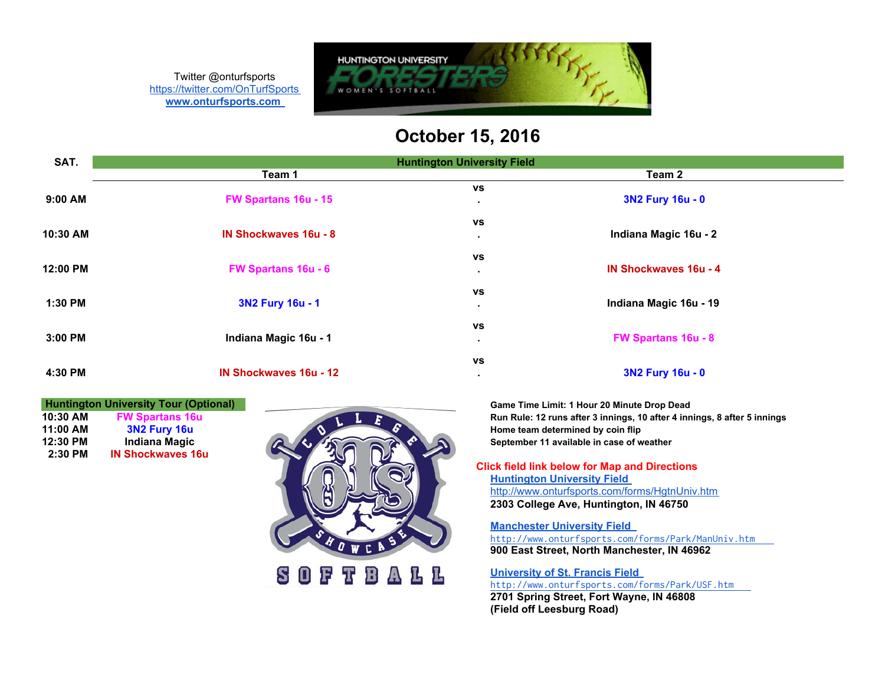Twitter @onturfsports <https://twitter.com/OnTurfSports> **[www.onturfsports.com](http://www.onturfsports.com)**



# **October 15, 2016**

| SAT.     | <b>Huntington University Field</b> |                                                             |
|----------|------------------------------------|-------------------------------------------------------------|
|          | Team 1                             | Team 2                                                      |
| 9:00 AM  | FW Spartans 16u - 15               | <b>VS</b><br>3N2 Fury 16u - 0<br>$\blacksquare$             |
| 10:30 AM | <b>IN Shockwaves 16u - 8</b>       | <b>VS</b><br>Indiana Magic 16u - 2<br>٠                     |
| 12:00 PM | FW Spartans 16u - 6                | <b>VS</b><br><b>IN Shockwaves 16u - 4</b><br>$\blacksquare$ |
| 1:30 PM  | 3N2 Fury 16u - 1                   | <b>VS</b><br>Indiana Magic 16u - 19<br>٠                    |
| 3:00 PM  | Indiana Magic 16u - 1              | <b>VS</b><br><b>FW Spartans 16u - 8</b><br>٠                |
| 4:30 PM  | <b>IN Shockwaves 16u - 12</b>      | <b>VS</b><br>3N2 Fury 16u - 0<br>$\blacksquare$             |

**2:30 PM IN Shockwaves 16u**



**10:30 AM FW Spartans 16u Run Rule: 12 runs after 3 innings, 10 after 4 innings, 8 after 5 innings** 

**Click field link below for Map and Directions [Huntington University Field](http://www.onturfsports.com/forms/HgtnUniv.htm)** <http://www.onturfsports.com/forms/HgtnUniv.htm> **2303 College Ave, Huntington, IN 46750**

**[Manchester University Field](http://www.onturfsports.com/forms/Park/ManUniv.htm)**

<http://www.onturfsports.com/forms/Park/ManUniv.htm> **900 East Street, North Manchester, IN 46962**

**[University of St. Francis Field](http://www.onturfsports.com/forms/Park/USF.htm)**

<http://www.onturfsports.com/forms/Park/USF.htm> **2701 Spring Street, Fort Wayne, IN 46808 (Field off Leesburg Road)**